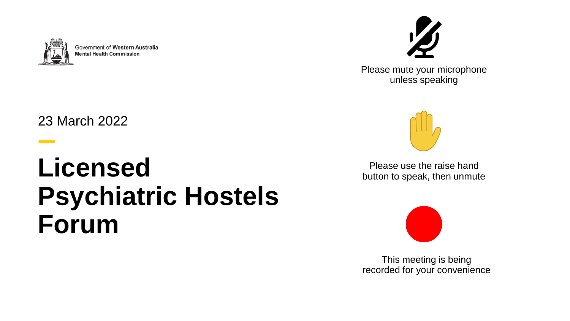

**Contract Contract** 

Government of Western Australia **Mental Health Commission** 



Please mute your microphone unless speaking

#### 23 March 2022

## **Licensed Psychiatric Hostels Forum**



Please use the raise hand button to speak, then unmute



This meeting is being recorded for your convenience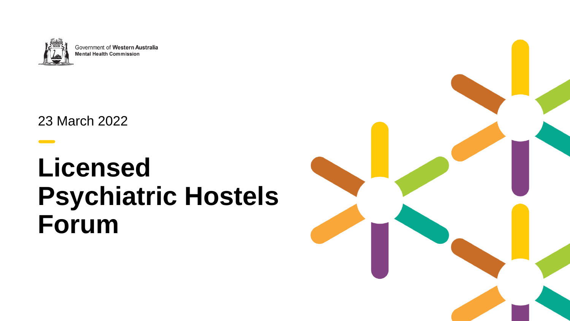

**Contract** 

Government of Western Australia **Mental Health Commission** 

23 March 2022

## **Licensed Psychiatric Hostels Forum**

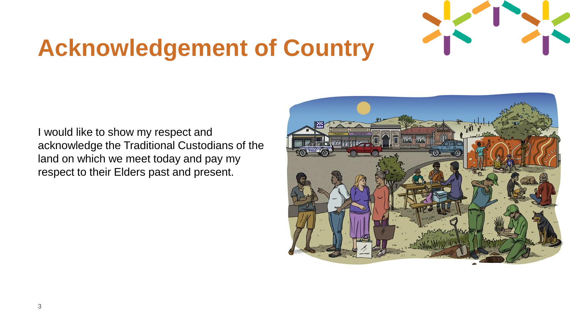

### **Acknowledgement of Country**

I would like to show my respect and acknowledge the Traditional Custodians of the land on which we meet today and pay my respect to their Elders past and present.

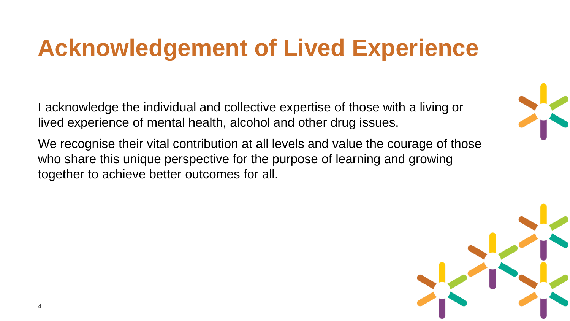### **Acknowledgement of Lived Experience**

I acknowledge the individual and collective expertise of those with a living or lived experience of mental health, alcohol and other drug issues.

We recognise their vital contribution at all levels and value the courage of those who share this unique perspective for the purpose of learning and growing together to achieve better outcomes for all.



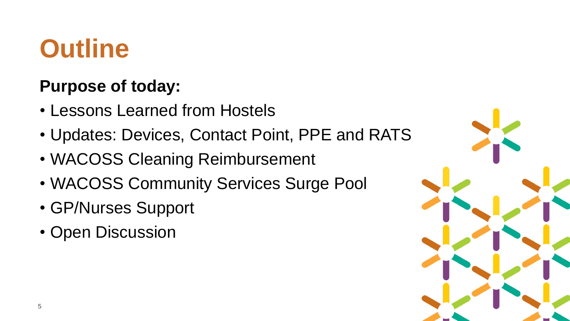## **Outline**

#### **Purpose of today:**

- Lessons Learned from Hostels
- Updates: Devices, Contact Point, PPE and RATS
- WACOSS Cleaning Reimbursement
- WACOSS Community Services Surge Pool
- GP/Nurses Support
- Open Discussion

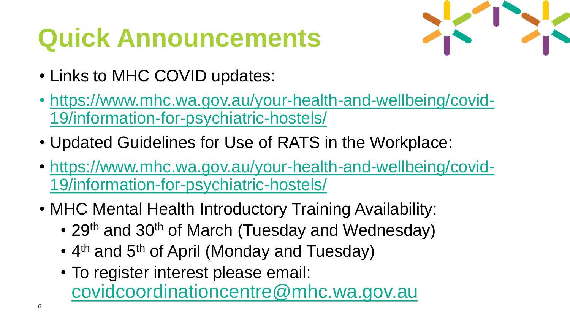## **Quick Announcements**



- Links to MHC COVID updates:
- [https://www.mhc.wa.gov.au/your-health-and-wellbeing/covid-](https://www.mhc.wa.gov.au/your-health-and-wellbeing/covid-19/information-for-psychiatric-hostels/)19/information-for-psychiatric-hostels/
- Updated Guidelines for Use of RATS in the Workplace:
- [https://www.mhc.wa.gov.au/your-health-and-wellbeing/covid-](https://www.mhc.wa.gov.au/your-health-and-wellbeing/covid-19/information-for-psychiatric-hostels/)19/information-for-psychiatric-hostels/
- MHC Mental Health Introductory Training Availability:
	- 29<sup>th</sup> and 30<sup>th</sup> of March (Tuesday and Wednesday)
	- 4<sup>th</sup> and 5<sup>th</sup> of April (Monday and Tuesday)
	- To register interest please email: [covidcoordinationcentre@mhc.wa.gov.au](mailto:covidcoordinationcentre@mhc.wa.gov.au)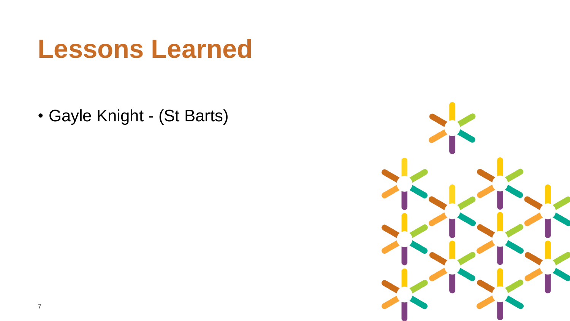## **Lessons Learned**

• Gayle Knight - (St Barts)

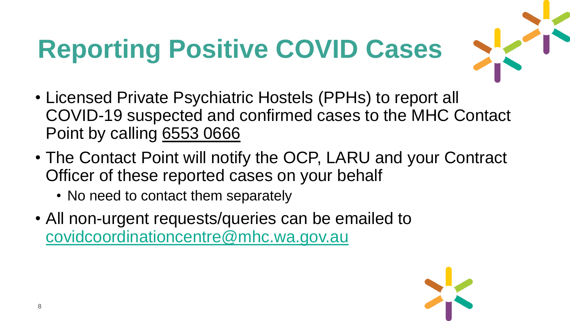# **Reporting Positive COVID Cases**



- Licensed Private Psychiatric Hostels (PPHs) to report all COVID-19 suspected and confirmed cases to the MHC Contact Point by calling 6553 0666
- The Contact Point will notify the OCP, LARU and your Contract Officer of these reported cases on your behalf
	- No need to contact them separately
- All non-urgent requests/queries can be emailed to [covidcoordinationcentre@mhc.wa.gov.au](mailto:ovidcoordinationcentre@mhc.wa.gov.au)

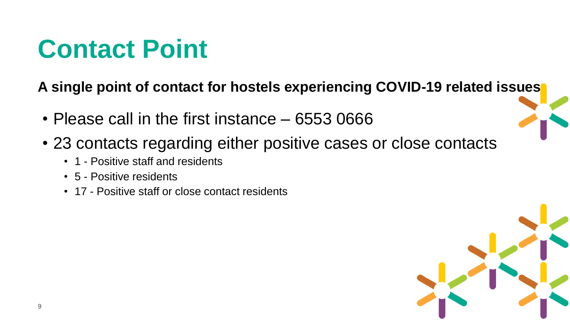## **Contact Point**

**A single point of contact for hostels experiencing COVID-19 related issues**

- Please call in the first instance 6553 0666
- 23 contacts regarding either positive cases or close contacts
	- 1 Positive staff and residents
	- 5 Positive residents
	- 17 Positive staff or close contact residents

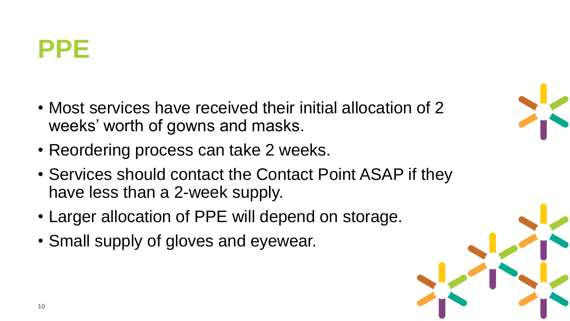### **PPE**

- Most services have received their initial allocation of 2 weeks' worth of gowns and masks.
- Reordering process can take 2 weeks.
- Services should contact the Contact Point ASAP if they have less than a 2-week supply.
- Larger allocation of PPE will depend on storage.
- Small supply of gloves and eyewear.

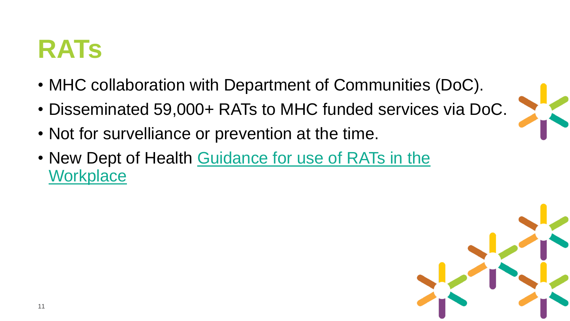### **RATs**

- MHC collaboration with Department of Communities (DoC).
- Disseminated 59,000+ RATs to MHC funded services via DoC.
- Not for survelliance or prevention at the time.
- [New Dept of Health Guidance for use of RATs in the](https://ww2.health.wa.gov.au/~/media/Corp/Documents/Health-for/Infectious-disease/COVID19/COVID19-Guidance-for-the-use-of-RATs-in-workplaces.pdf)  **Workplace**

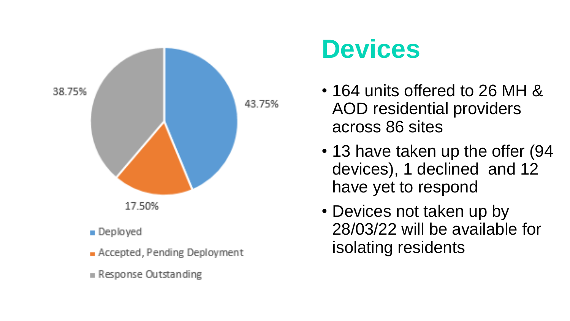

- Accepted, Pending Deployment
- Response Outstanding

### **Devices**

- 164 units offered to 26 MH & AOD residential providers across 86 sites
- 13 have taken up the offer (94) devices), 1 declined and 12 have yet to respond
- Devices not taken up by 28/03/22 will be available for isolating residents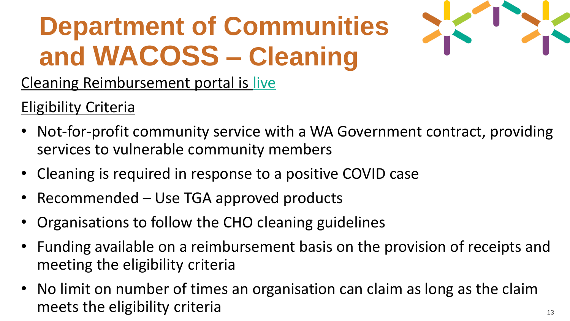## **Department of Communities and WACOSS – Cleaning**



Cleaning Reimbursement portal is [live](https://www.wacoss.org.au/covid-19-cleaning-reimbursement-scheme/)

Eligibility Criteria

- Not-for-profit community service with a WA Government contract, providing services to vulnerable community members
- Cleaning is required in response to a positive COVID case
- Recommended Use TGA approved products
- Organisations to follow the CHO cleaning guidelines
- Funding available on a reimbursement basis on the provision of receipts and meeting the eligibility criteria
- No limit on number of times an organisation can claim as long as the claim meets the eligibility criteria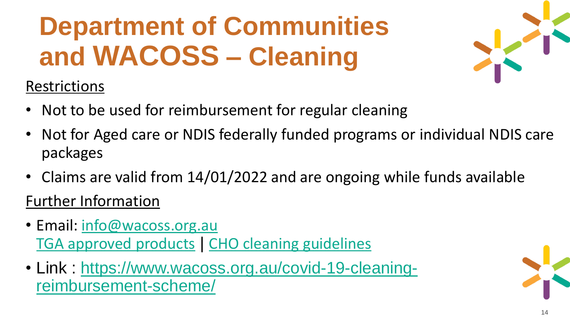# **Department of Communities and WACOSS – Cleaning**



#### Restrictions

- Not to be used for reimbursement for regular cleaning
- Not for Aged care or NDIS federally funded programs or individual NDIS care packages
- Claims are valid from 14/01/2022 and are ongoing while funds available

#### Further Information

- Email: [info@wacoss.org.au](mailto:info@wacoss.org.au) [TGA approved products](https://www.tga.gov.au/disinfectants-use-against-covid-19-artg-legal-supply-australia) | [CHO cleaning guidelines](https://ww2.health.wa.gov.au/~/media/Corp/Documents/Health-for/Infectious-disease/COVID19/COVID19-Cleaning-principles-for-staff-in-SQF.pdf)
- [Link : https://www.wacoss.org.au/covid-19-cleaning](https://www.wacoss.org.au/covid-19-cleaning-reimbursement-scheme/)reimbursement-scheme/

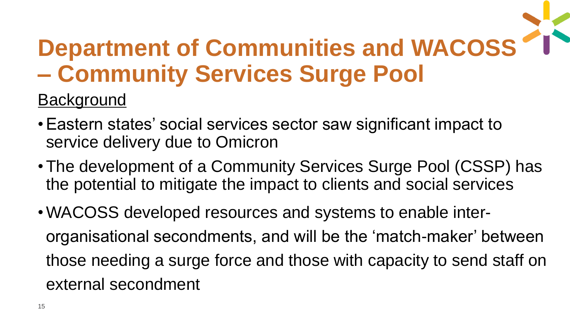## **Department of Communities and WACOSS – Community Services Surge Pool**

#### **Background**

- •Eastern states' social services sector saw significant impact to service delivery due to Omicron
- •The development of a Community Services Surge Pool (CSSP) has the potential to mitigate the impact to clients and social services
- •WACOSS developed resources and systems to enable interorganisational secondments, and will be the 'match-maker' between those needing a surge force and those with capacity to send staff on external secondment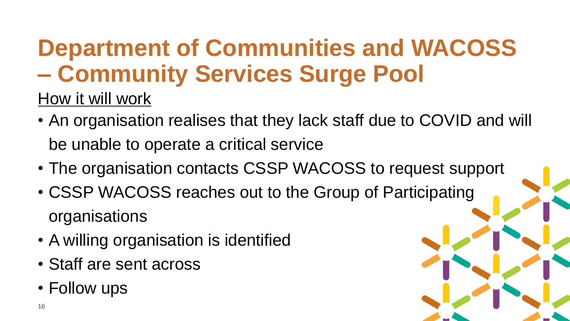### **Department of Communities and WACOSS – Community Services Surge Pool**

How it will work

- An organisation realises that they lack staff due to COVID and will be unable to operate a critical service
- The organisation contacts CSSP WACOSS to request support
- CSSP WACOSS reaches out to the Group of Participating organisations
- A willing organisation is identified
- Staff are sent across
- Follow ups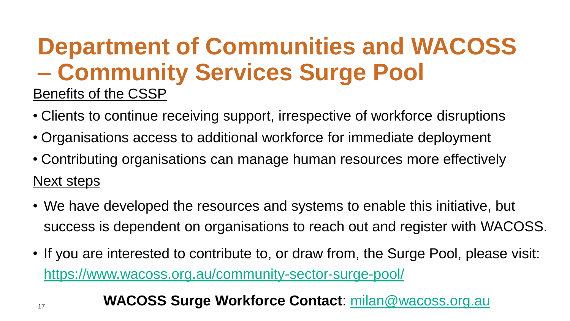#### **Department of Communities and WACOSS – Community Services Surge Pool**  Benefits of the CSSP

- Clients to continue receiving support, irrespective of workforce disruptions
- Organisations access to additional workforce for immediate deployment
- Contributing organisations can manage human resources more effectively Next steps
- We have developed the resources and systems to enable this initiative, but success is dependent on organisations to reach out and register with WACOSS.
- If you are interested to contribute to, or draw from, the Surge Pool, please visit: <https://www.wacoss.org.au/community-sector-surge-pool/>

#### **WACOSS Surge Workforce Contact**: [milan@wacoss.org.au](mailto:milan@wacoss.org.au)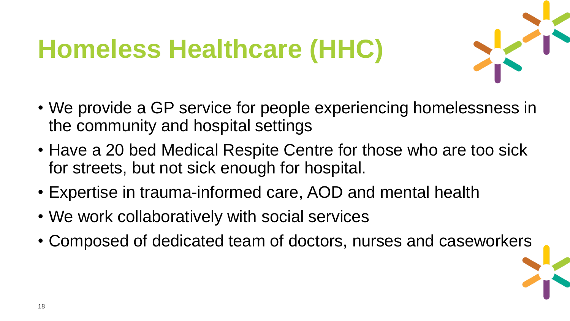# **Homeless Healthcare (HHC)**



- We provide a GP service for people experiencing homelessness in the community and hospital settings
- Have a 20 bed Medical Respite Centre for those who are too sick for streets, but not sick enough for hospital.
- Expertise in trauma-informed care, AOD and mental health
- We work collaboratively with social services
- Composed of dedicated team of doctors, nurses and caseworkers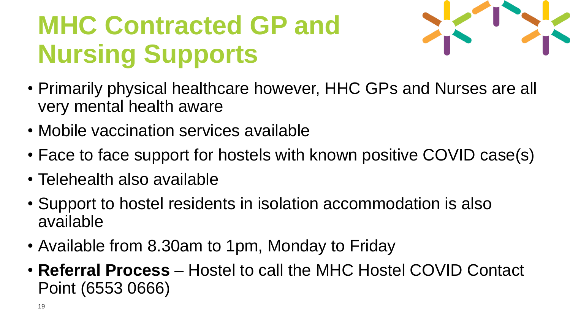## **MHC Contracted GP and Nursing Supports**



- Primarily physical healthcare however, HHC GPs and Nurses are all very mental health aware
- Mobile vaccination services available
- Face to face support for hostels with known positive COVID case(s)
- Telehealth also available
- Support to hostel residents in isolation accommodation is also available
- Available from 8.30am to 1pm, Monday to Friday
- **Referral Process** Hostel to call the MHC Hostel COVID Contact Point (6553 0666)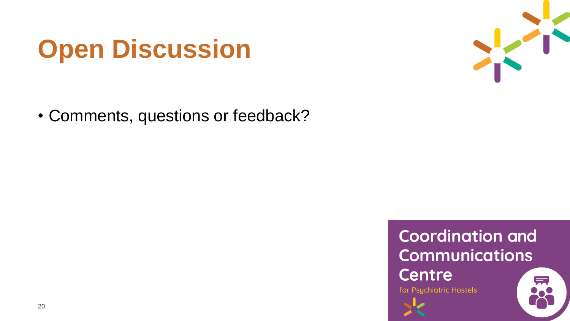## **Open Discussion**



• Comments, questions or feedback?

#### **Coordination and Communications**

**Centre** 

for Psychiatric Hostels

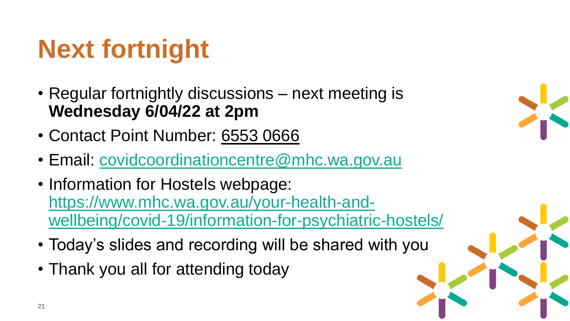## **Next fortnight**

- Regular fortnightly discussions next meeting is **Wednesday 6/04/22 at 2pm**
- Contact Point Number: 6553 0666
- Email: [covidcoordinationcentre@mhc.wa.gov.au](mailto:covidcoordinationcentre@mhc.wa.gov.au)
- Information for Hostels webpage: https://www.mhc.wa.gov.au/your-health-and[wellbeing/covid-19/information-for-psychiatric-hostels/](https://www.mhc.wa.gov.au/your-health-and-wellbeing/covid-19/information-for-psychiatric-hostels/)
- Today's slides and recording will be shared with you
- Thank you all for attending today